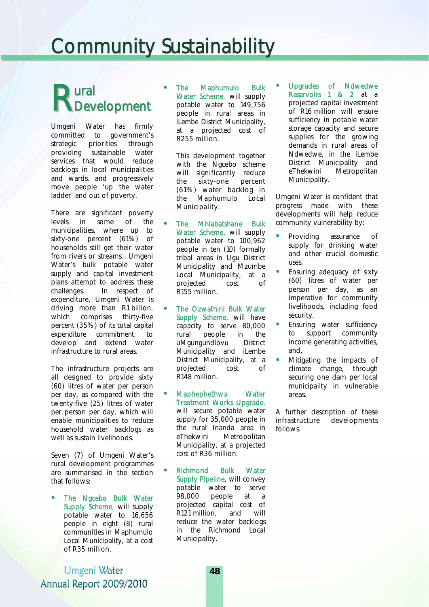# Community Sustainability

# ural **Rural**<br>RDevelopment

Umgeni Water has firmly committed to government's strategic priorities through providing sustainable water services that would reduce backlogs in local municipalities and wards, and progressively move people 'up the water ladder' and out of poverty.

There are significant poverty levels in some of the municipalities, where up to sixty-one percent (61%) of households still get their water from rivers or streams. Umgeni Water's bulk potable water supply and capital investment plans attempt to address these challenges. In respect of expenditure, Umgeni Water is driving more than R1 billion, which comprises thirty-five percent (35%) of its total capital expenditure commitment, to develop and extend water infrastructure to rural areas.

The infrastructure projects are all designed to provide sixty (60) litres of water per person per day, as compared with the twenty-five (25) litres of water per person per day, which will enable municipalities to reduce household water backlogs as well as sustain livelihoods.

Seven (7) of Umgeni Water's rural development programmes are summarised in the section that follows:

 The Ngcebo Bulk Water Supply Scheme, will supply potable water to 16,656 people in eight (8) rural communities in Maphumulo Local Municipality, at a cost of R35 million.

 The Maphumulo Bulk Water Scheme, will supply potable water to 149,756 people in rural areas in iLembe District Municipality, at a projected cost of R255 million.

This development together with the Ngcebo scheme will significantly reduce the sixty-one percent (61%) water backlog in the Maphumulo Local Municipality.

- **The Mhlabatshane Bulk** Water Scheme, will supply potable water to 100,962 people in ten (10) formally tribal areas in Ugu District Municipality and Mzumbe Local Municipality, at a projected cost of R155 million.
- The Ozwathini Bulk Water Supply Scheme, will have capacity to serve 80,000 rural people in the uMgungundlovu District Municipality and iLembe District Municipality, at a projected cost of R148 million.
- Maphephethwa Water Treatment Works Upgrade, will secure potable water supply for 35,000 people in the rural Inanda area in eThekwini Metropolitan Municipality, at a projected cost of R36 million.
- Richmond Bulk Water Supply Pipeline, will convey potable water to serve 98,000 people at a projected capital cost of R121 million, and will reduce the water backlogs in the Richmond Local Municipality.

 Upgrades of Ndwedwe Reservoirs 1 & 2 at a projected capital investment of R16 million will ensure sufficiency in potable water storage capacity and secure supplies for the growing demands in rural areas of Ndwedwe, in the iLembe District Municipality and eThekwini Metropolitan Municipality.

Umgeni Water is confident that progress made with these developments will help reduce community vulnerability by:

- Providing assurance of supply for drinking water and other crucial domestic uses,
- Ensuring adequacy of sixty (60) litres of water per person per day, as an imperative for community livelihoods, including food security,
- Ensuring water sufficiency to support community income generating activities, and,
- Mitigating the impacts of climate change, through securing one dam per local municipality in vulnerable areas.

A further description of these infrastructure developments follows.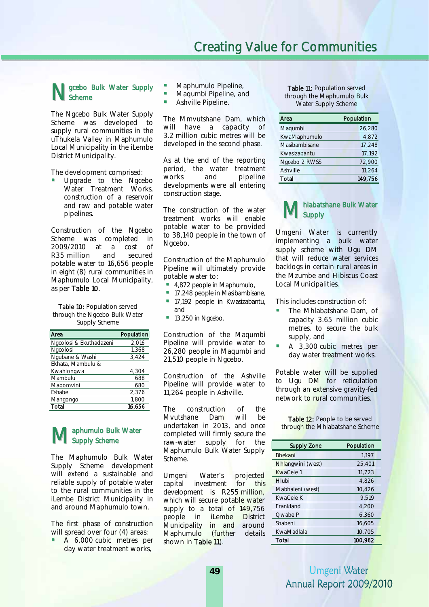### N gcebo Bulk Water Supply<br>
Scheme **Scheme**

The Ngcebo Bulk Water Supply Scheme was developed to supply rural communities in the uThukela Valley in Maphumulo Local Municipality in the iLembe District Municipality.

The development comprised:

 Upgrade to the Ngcebo Water Treatment Works, construction of a reservoir and raw and potable water pipelines.

Construction of the Ngcebo Scheme was completed in 2009/2010 at a cost of R35 million and secured potable water to 16,656 people in eight (8) rural communities in Maphumulo Local Municipality, as per Table 10.

 through the Ngcebo Bulk Water Table 10: Population served Supply Scheme

| Area                    | Population |
|-------------------------|------------|
| Ngcolosi & Ekuthadazeni | 2,016      |
| Ngcolosi                | 1,368      |
| Ngubane & Washi         | 3,424      |
| Ekhata, Mambulu &       |            |
| Kwahlongwa              | 4,304      |
| Mambulu                 | 688        |
| Mabomvini               | 680        |
| Eshabe                  | 2,376      |
| Mangongo                | 1,800      |
| Total                   | 16.656     |

#### aphumulo Bulk Water Supply Scheme

The Maphumulo Bulk Water Supply Scheme development will extend a sustainable and reliable supply of potable water to the rural communities in the iLembe District Municipality in and around Maphumulo town.

The first phase of construction will spread over four (4) areas:

 A 6,000 cubic metres per day water treatment works,

- Maphumulo Pipeline,
- Maqumbi Pipeline, and
- Ashville Pipeline.

The Mmvutshane Dam, which will have a capacity of 3.2 million cubic metres will be developed in the second phase.

As at the end of the reporting period, the water treatment works and pipeline developments were all entering construction stage.

The construction of the water treatment works will enable potable water to be provided to 38,140 people in the town of Ngcebo.

Construction of the Maphumulo Pipeline will ultimately provide potable water to:

- 4,872 people in Maphumulo,
- 17,248 people in Masibambisane, **17,192 people in Kwasizabantu,** and
- $13,250$  in Ngcebo.

Construction of the Maqumbi Pipeline will provide water to 26,280 people in Maqumbi and 21,510 people in Ngcebo.

Construction of the Ashville Pipeline will provide water to 11,264 people in Ashville.

The construction of the Mvutshane Dam will be undertaken in 2013, and once completed will firmly secure the raw-water supply for the Maphumulo Bulk Water Supply Scheme. Maphumulo Bulk Water<br>
Completed will firmly secure the<br>
raw-water supply for the supply zone Population

> Umgeni Water's projected capital investment for this development is R255 million, which will secure potable water supply to a total of 149,756 people in iLembe District Municipality in and around Maphumulo (further details shown in Table 11).

Table 11: Population served through the Maphumulo Bulk Water Supply Scheme

| Area          | Population |
|---------------|------------|
| Magumbi       | 26,280     |
| KwaMaphumulo  | 4.872      |
| Masibambisane | 17.248     |
| Kwasizabantu  | 17,192     |
| Ngcebo 2 RWSS | 72,900     |
| Ashville      | 11.264     |
| Total         | 149,756    |

#### hlabatshane Bulk Water **Supply**  $M_{\rm sc}^{\rm nl}$

Umgeni Water is currently implementing a bulk water supply scheme with Ugu DM that will reduce water services backlogs in certain rural areas in the Mzumbe and Hibiscus Coast Local Municipalities.

This includes construction of:

- The Mhlabatshane Dam, of capacity 3.65 million cubic metres, to secure the bulk supply, and
- A 3,300 cubic metres per day water treatment works.

Potable water will be supplied to Ugu DM for reticulation through an extensive gravity-fed network to rural communities.

Table 12: People to be served through the Mhlabatshane Scheme

| <b>Supply Zone</b> | Population |
|--------------------|------------|
| <b>Bhekani</b>     | 1,197      |
| Nhlangwini (west)  | 25,401     |
| KwaCele 1          | 11,723     |
| Hlubi              | 4.826      |
| Mabhaleni (west)   | 10,426     |
| KwaCele K          | 9.519      |
| Frankland          | 4,200      |
| Owabe P            | 6,360      |
| Shabeni            | 16,605     |
| KwaMadlala         | 10,705     |
| Total              | 100,962    |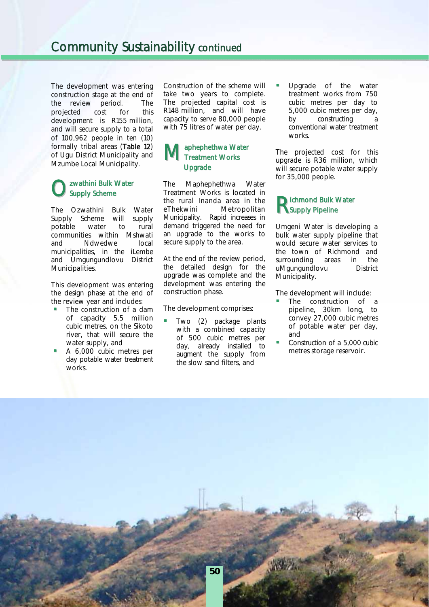The development was entering construction stage at the end of the review period. The projected cost for this development is R155 million, and will secure supply to a total of 100,962 people in ten (10) formally tribal areas (Table 12) of Ugu District Municipality and Mzumbe Local Municipality.

### **O** zwathini Bulk Water Supply Scheme

The Ozwathini Bulk Water Supply Scheme will supply potable water to rural communities within Mshwati and Ndwedwe local municipalities, in the iLembe and Umgungundlovu District Municipalities.

This development was entering the design phase at the end of the review year and includes:

- The construction of a dam of capacity 5.5 million cubic metres, on the Sikoto river, that will secure the water supply, and
- A 6,000 cubic metres per day potable water treatment works.

Construction of the scheme will take two years to complete. The projected capital cost is R148 million, and will have capacity to serve 80,000 people with 75 litres of water per day.

#### aphephethwa Water Treatment Works **Upgrade**  $M_{\text{Tr}}^{ap}$

The Maphephethwa Water Treatment Works is located in the rural Inanda area in the eThekwini Metropolitan Municipality. Rapid increases in demand triggered the need for an upgrade to the works to secure supply to the area.

At the end of the review period, the detailed design for the upgrade was complete and the development was entering the construction phase.

The development comprises:

 Two (2) package plants with a combined capacity of 500 cubic metres per day, already installed to augment the supply from the slow sand filters, and

 Upgrade of the water treatment works from 750 cubic metres per day to 5,000 cubic metres per day, by constructing a conventional water treatment works.

The projected cost for this upgrade is R36 million, which will secure potable water supply for 35,000 people.

### **R**ichmond Bulk Water **Supply Pipeline**

Umgeni Water is developing a bulk water supply pipeline that would secure water services to the town of Richmond and surrounding areas in the uMgungundlovu District Municipality.

The development will include:

- The construction of a pipeline, 30km long, to convey 27,000 cubic metres of potable water per day, and
- Construction of a 5,000 cubic metres storage reservoir.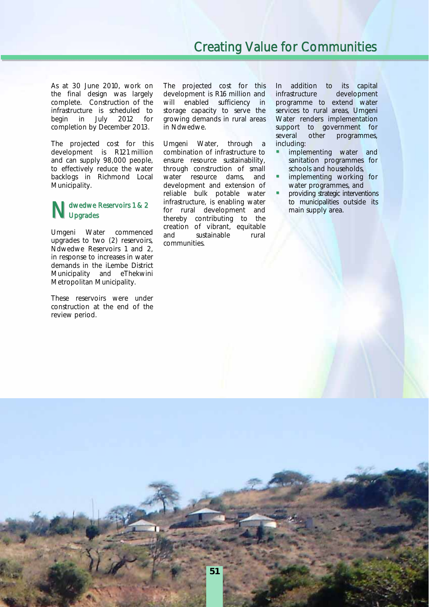As at 30 June 2010, work on the final design was largely complete. Construction of the infrastructure is scheduled to begin in July 2012 for completion by December 2013.

The projected cost for this development is R121 million and can supply 98,000 people, to effectively reduce the water backlogs in Richmond Local Municipality.

#### dwedwe Reservoirs 1 & 2 **J**pgrades

Umgeni Water commenced upgrades to two (2) reservoirs, Ndwedwe Reservoirs 1 and 2, in response to increases in water demands in the iLembe District Municipality and eThekwini Metropolitan Municipality.

These reservoirs were under construction at the end of the review period.

The projected cost for this development is R16 million and will enabled sufficiency in storage capacity to serve the growing demands in rural areas in Ndwedwe.

Umgeni Water, through a combination of infrastructure to ensure resource sustainability, through construction of small water resource dams, and development and extension of reliable bulk potable water infrastructure, is enabling water for rural development and thereby contributing to the creation of vibrant, equitable and sustainable rural communities. Municipalities outside its<br>
Upgrades<br>
Nupgrades<br>
thereby contributing to the<br>
Nupgrades<br>
thereby contributing to the

In addition to its capital infrastructure development programme to extend water services to rural areas, Umgeni Water renders implementation support to government for several other programmes, including:

- implementing water and sanitation programmes for schools and households,
- implementing working for water programmes, and
- providing strategic interventions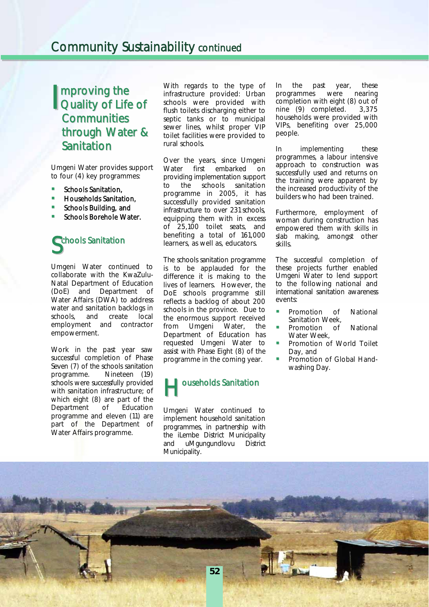# **I** mproving the<br>Quality of Life Quality of Life of **Communities** through Water & Sanitation

Umgeni Water provides support to four (4) key programmes:

- Schools Sanitation,
- Households Sanitation,
- Schools Building, and
- Schools Borehole Water.

## Schools Sanitation  $\begin{array}{c} \end{array}$

Umgeni Water continued to collaborate with the KwaZulu-Natal Department of Education (DoE) and Department of Water Affairs (DWA) to address water and sanitation backlogs in schools, and create local employment and contractor empowerment.

Work in the past year saw successful completion of Phase Seven (7) of the schools sanitation programme. Nineteen (19) schools were successfully provided with sanitation infrastructure; of which eight (8) are part of the<br>Department of Education Department of programme and eleven (11) are part of the Department of Water Affairs programme.

With regards to the type of infrastructure provided: Urban schools were provided with flush toilets discharging either to septic tanks or to municipal sewer lines, whilst proper VIP toilet facilities were provided to rural schools.

Over the years, since Umgeni Water first embarked on providing implementation support to the schools sanitation programme in 2005, it has successfully provided sanitation infrastructure to over 231 schools, equipping them with in excess of 25,100 toilet seats, and benefiting a total of 161,000 learners, as well as, educators.

The schools sanitation programme is to be applauded for the difference it is making to the lives of learners. However, the DoE schools programme still reflects a backlog of about 200 schools in the province. Due to the enormous support received from Umgeni Water, the Department of Education has requested Umgeni Water to assist with Phase Eight (8) of the programme in the coming year.



Umgeni Water continued to implement household sanitation programmes, in partnership with the iLembe District Municipality and uMgungundlovu District Municipality.

In the past year, these programmes were nearing completion with eight (8) out of nine (9) completed. 3,375 households were provided with VIPs, benefiting over 25,000 people.

In implementing these programmes, a labour intensive approach to construction was successfully used and returns on the training were apparent by the increased productivity of the builders who had been trained.

Furthermore, employment of woman during construction has empowered them with skills in slab making, amongst other skills.

The successful completion of these projects further enabled Umgeni Water to lend support to the following national and international sanitation awareness events:

- Promotion of National Sanitation Week,
- Promotion of National Water Week,
- Promotion of World Toilet Day, and
- Promotion of Global Handwashing Day.

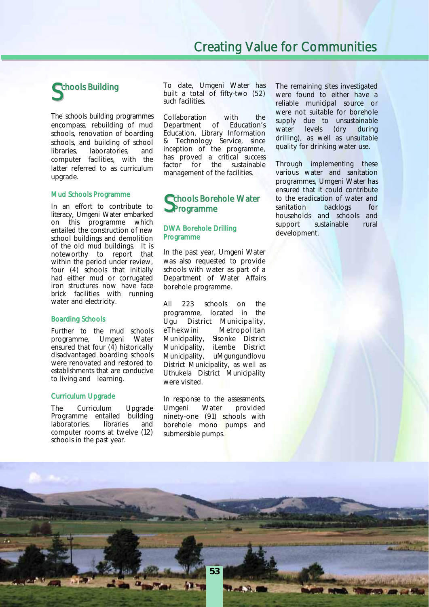# Schools Building

The schools building programmes encompass, rebuilding of mud schools, renovation of boarding schools, and building of school libraries, laboratories, and computer facilities, with the latter referred to as curriculum upgrade.

#### Mud Schools Programme

In an effort to contribute to literacy, Umgeni Water embarked on this programme which entailed the construction of new school buildings and demolition of the old mud buildings. It is noteworthy to report that within the period under review, four (4) schools that initially had either mud or corrugated iron structures now have face brick facilities with running water and electricity.

#### Boarding Schools

Further to the mud schools programme, Umgeni Water ensured that four (4) historically disadvantaged boarding schools were renovated and restored to establishments that are conducive to living and learning.

#### Curriculum Upgrade

The Curriculum Upgrade Programme entailed building laboratories, libraries and computer rooms at twelve (12) schools in the past year.

To date, Umgeni Water has built a total of fifty-two (52) such facilities.

Collaboration with the Department of Education's Education, Library Information & Technology Service, since inception of the programme, has proved a critical success factor for the sustainable management of the facilities.

## chools Borehole Water Schools Bore<br>SProgramme

#### DWA Borehole Drilling Programme

In the past year, Umgeni Water was also requested to provide schools with water as part of a Department of Water Affairs borehole programme.

All 223 schools on the programme, located in the Ugu District Municipality, eThekwini Metropolitan Municipality, Sisonke District Municipality, iLembe District Municipality, uMgungundlovu District Municipality, as well as Uthukela District Municipality were visited.

In response to the assessments, Umgeni Water provided ninety-one (91) schools with borehole mono pumps and submersible pumps.

**53**

í

į

The remaining sites investigated were found to either have a reliable municipal source or were not suitable for borehole supply due to unsustainable water levels (dry during drilling), as well as unsuitable quality for drinking water use.

Through implementing these various water and sanitation programmes, Umgeni Water has ensured that it could contribute to the eradication of water and sanitation backlogs for households and schools and support sustainable rural development.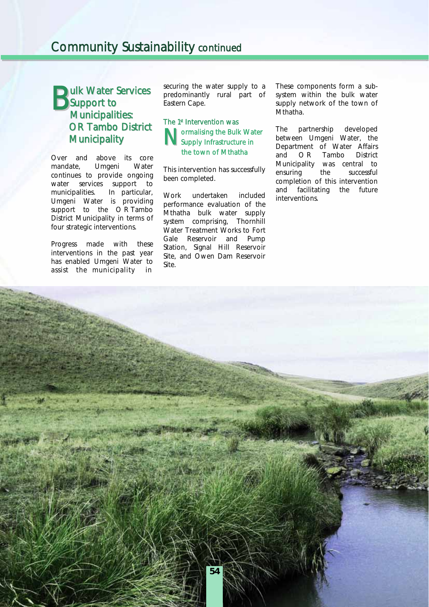#### **Dulk Water Services** Support to Municipalities: OR Tambo District **Municipality**  $B_{\text{su}}^{\text{ul}}$

Over and above its core mandate, Umgeni Water continues to provide ongoing water services support to municipalities. In particular, Umgeni Water is providing support to the ORTambo District Municipality in terms of four strategic interventions.

Progress made with these interventions in the past year has enabled Umgeni Water to assist the municipality in

securing the water supply to a predominantly rural part of Eastern Cape.

#### The 1<sup>st</sup> Intervention was **N** ormalising the Bulk Water<br>Supply Infrastructure in **Supply Infrastructure in** the town of Mthatha

This intervention has successfully been completed.

Work undertaken included performance evaluation of the Mthatha bulk water supply system comprising, Thornhill Water Treatment Works to Fort Gale Reservoir and Pump Station, Signal Hill Reservoir Site, and Owen Dam Reservoir Site.

These components form a subsystem within the bulk water supply network of the town of Mthatha.

The partnership developed between Umgeni Water, the Department of Water Affairs and O R Tambo District Municipality was central to ensuring the successful completion of this intervention and facilitating the future interventions.

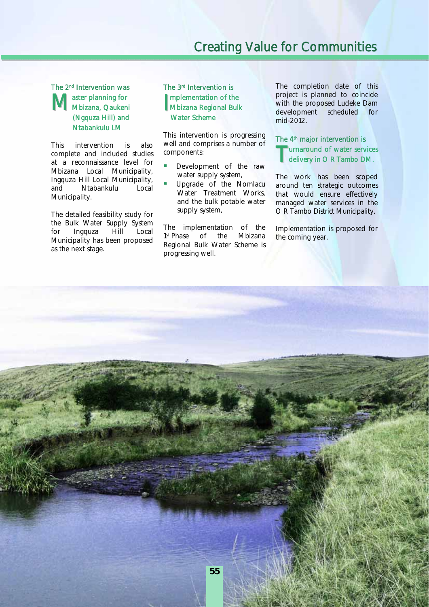#### The 2nd Intervention was aster planning for Master planning for<br>
Mbizana, Qaukeni MM (Ngquza Hill) and Ntabankulu LM

This intervention is also complete and included studies at a reconnaissance level for Mbizana Local Municipality, Ingquza Hill Local Municipality, and Ntabankulu Local Municipality.

The detailed feasibility study for the Bulk Water Supply System for Ingquza Hill Local Municipality has been proposed as the next stage.

#### The 3rd Intervention is mplementation of the Mbizana Regional Bulk Water Scheme

This intervention is progressing well and comprises a number of components:

- Development of the raw water supply system,
- Upgrade of the Nomlacu Water Treatment Works, and the bulk potable water supply system,

The implementation of the 1st Phase of the Mbizana Regional Bulk Water Scheme is progressing well.

The completion date of this project is planned to coincide with the proposed Ludeke Dam development scheduled for mid-2012.

#### The 4<sup>th</sup> major intervention is **The Urnaround of water services**<br>delivery in O R Tambo DM. delivery in O R Tambo DM.

The work has been scoped around ten strategic outcomes that would ensure effectively managed water services in the O R Tambo District Municipality.

Implementation is proposed for the coming year.

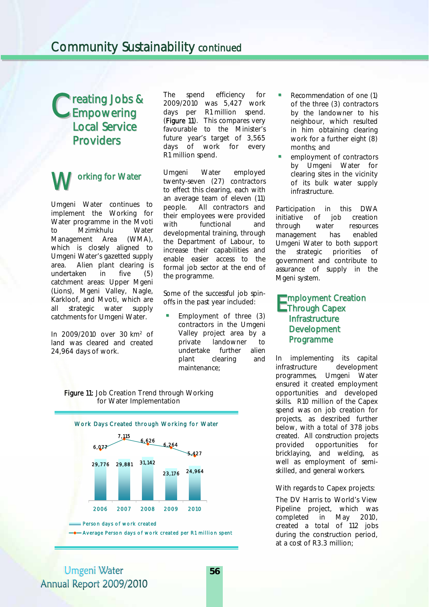# reating Jobs & Creating Jobs<br>
CEmpowering Local Service **Providers**

# orking for Water W

Umgeni Water continues to implement the Working for Water programme in the Mvoti to Mzimkhulu Water Management Area (WMA), which is closely aligned to Umgeni Water's gazetted supply area. Alien plant clearing is undertaken in five (5) catchment areas: Upper Mgeni (Lions), Mgeni Valley, Nagle, Karkloof, and Mvoti, which are all strategic water supply catchments for Umgeni Water.

In 2009/2010 over 30 km2 of land was cleared and created 24,964 days of work.

The spend efficiency for 2009/2010 was 5,427 work days per R1 million spend. (Figure 11). This compares very favourable to the Minister's future year's target of 3,565 days of work for every R1 million spend.

Umgeni Water employed twenty-seven (27) contractors to effect this clearing, each with an average team of eleven (11) people. All contractors and their employees were provided with functional and developmental training, through the Department of Labour, to increase their capabilities and enable easier access to the formal job sector at the end of the programme.

Some of the successful job spinoffs in the past year included:

 Employment of three (3) contractors in the Umgeni Valley project area by a private landowner to undertake further alien plant clearing and maintenance;





- Recommendation of one (1) of the three (3) contractors by the landowner to his neighbour, which resulted in him obtaining clearing work for a further eight (8) months; and
- employment of contractors by Umgeni Water for clearing sites in the vicinity of its bulk water supply infrastructure.

Participation in this DWA initiative of job creation through water resources management has enabled Umgeni Water to both support the strategic priorities of government and contribute to assurance of supply in the Mgeni system.

#### mployment Creation Through Capex **Infrastructure Development** Programme E

In implementing its capital infrastructure development programmes, Umgeni Water ensured it created employment opportunities and developed skills. R10 million of the Capex spend was on job creation for projects, as described further below, with a total of 378 jobs created. All construction projects provided opportunities for presses in the welding, as well as employment of semiskilled, and general workers.

With regards to Capex projects:

The DV Harris to World's View Pipeline project, which was completed in May 2010, created a total of 112 jobs during the construction period, at a cost of R3.3 million;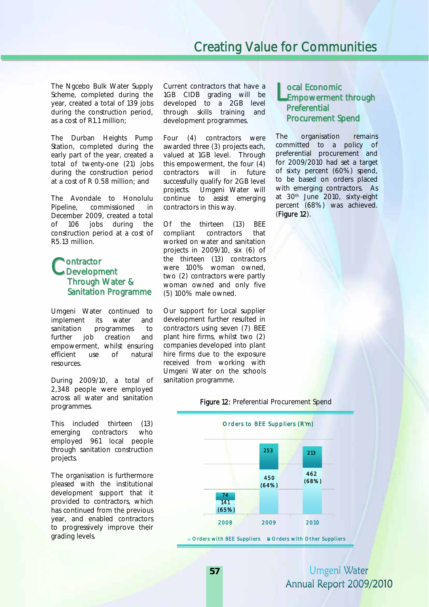The Ngcebo Bulk Water Supply Scheme, completed during the year, created a total of 139 jobs during the construction period, as a cost of R1.1 million;

The Durban Heights Pump Station, completed during the early part of the year, created a total of twenty-one (21) jobs during the construction period at a cost of R 0.58 million; and

The Avondale to Honolulu Pipeline, commissioned in December 2009, created a total of 106 jobs during the construction period at a cost of R5.13 million.

#### **Montractor** Contractor<br>CDevelopment Through Water & Sanitation Programme

Umgeni Water continued to implement its water and sanitation programmes to further job creation and empowerment, whilst ensuring efficient use of natural resources.

During 2009/10, a total of 2,348 people were employed across all water and sanitation programmes.

This included thirteen (13) emerging contractors who employed 961 local people through sanitation construction projects.

The organisation is furthermore pleased with the institutional development support that it provided to contractors, which has continued from the previous year, and enabled contractors to progressively improve their grading levels.

Current contractors that have a 1GB CIDB grading will be developed to a 2GB level through skills training and development programmes.

Four (4) contractors were awarded three (3) projects each, valued at 1GB level. Through this empowerment, the four (4) contractors will in future successfully qualify for 2GB level projects. Umgeni Water will continue to assist emerging contractors in this way.

Of the thirteen (13) BEE compliant contractors that worked on water and sanitation projects in 2009/10, six (6) of the thirteen (13) contractors were 100% woman owned, two (2) contractors were partly woman owned and only five (5) 100% male owned.

Our support for Local supplier development further resulted in contractors using seven (7) BEE plant hire firms, whilst two (2) companies developed into plant hire firms due to the exposure received from working with Umgeni Water on the schools sanitation programme.

#### ocal Economic Lempowerment through **Preferential** Procurement Spend

The organisation remains committed to a policy of preferential procurement and for 2009/2010 had set a target of sixty percent (60%) spend, to be based on orders placed with emerging contractors. As at 30<sup>th</sup> June 2010, sixty-eight percent (68%) was achieved. (Figure 12).

#### Figure 12: Preferential Procurement Spend

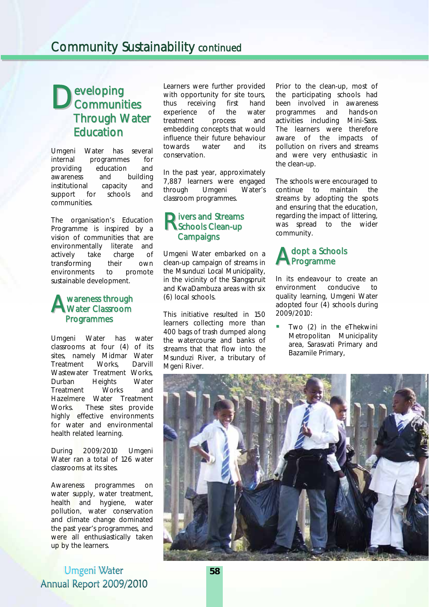# eveloping **D**eveloping<br>Communities Through Water **Education**

Umgeni Water has several internal programmes for providing education and awareness and building institutional capacity and support for schools and communities.

The organisation's Education Programme is inspired by a vision of communities that are environmentally literate and actively take charge of transforming their own environments to promote sustainable development.

#### wareness through **A** wareness through<br>Water Classroom Programmes

Umgeni Water has water classrooms at four (4) of its sites, namely Midmar Water Treatment Works, Darvill Wastewater Treatment Works, Durban Heights Water Treatment Works and Hazelmere Water Treatment Works. These sites provide highly effective environments for water and environmental health related learning.

During 2009/2010 Umgeni Water ran a total of 126 water classrooms at its sites.

Awareness programmes on water supply, water treatment, health and hygiene, water pollution, water conservation and climate change dominated the past year's programmes, and were all enthusiastically taken up by the learners.

Umgeni Water Annual Report 2009/2010 Learners were further provided with opportunity for site tours, thus receiving first hand experience of the water treatment process and embedding concepts that would influence their future behaviour towards water and its conservation.

In the past year, approximately 7,887 learners were engaged through Umgeni Water's classroom programmes.

#### **Nivers and Streams**<br> **Rechools Clean-up** Schools Clean-up **Campaigns**

Umgeni Water embarked on a clean-up campaign of streams in the Msunduzi Local Municipality, in the vicinity of the Slangspruit and KwaDambuza areas with six (6) local schools.

This initiative resulted in 150 learners collecting more than 400 bags of trash dumped along the watercourse and banks of streams that that flow into the Msunduzi River, a tributary of Mgeni River.

Prior to the clean-up, most of the participating schools had been involved in awareness programmes and hands-on activities including Mini-Sass. The learners were therefore aware of the impacts of pollution on rivers and streams and were very enthusiastic in the clean-up.

The schools were encouraged to continue to maintain the streams by adopting the spots and ensuring that the education, regarding the impact of littering, was spread to the wider community.

## dopt a Schools A dopt a Scho

In its endeavour to create an environment conducive to quality learning, Umgeni Water adopted four (4) schools during 2009/2010:

Two (2) in the eThekwini Metropolitan Municipality area, Sarasvati Primary and Bazamile Primary,